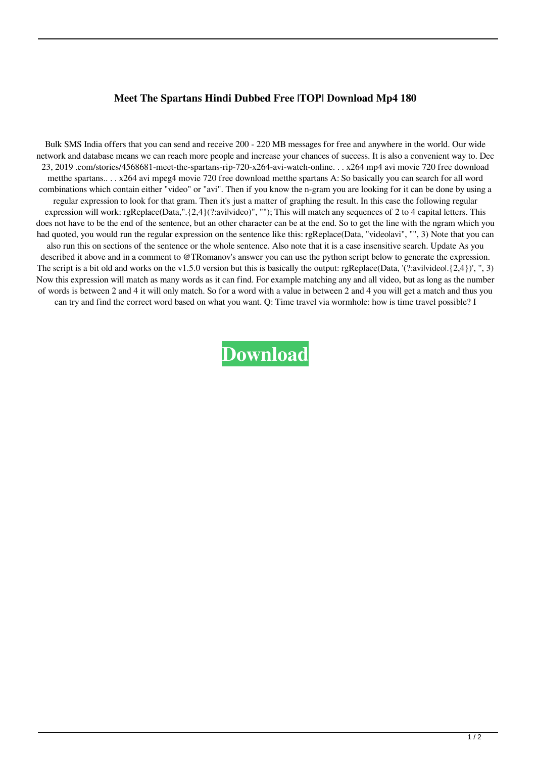## **Meet The Spartans Hindi Dubbed Free |TOP| Download Mp4 180**

Bulk SMS India offers that you can send and receive 200 - 220 MB messages for free and anywhere in the world. Our wide network and database means we can reach more people and increase your chances of success. It is also a convenient way to. Dec 23, 2019 .com/stories/4568681-meet-the-spartans-rip-720-x264-avi-watch-online. . . x264 mp4 avi movie 720 free download metthe spartans.. . . x264 avi mpeg4 movie 720 free download metthe spartans A: So basically you can search for all word combinations which contain either "video" or "avi". Then if you know the n-gram you are looking for it can be done by using a regular expression to look for that gram. Then it's just a matter of graphing the result. In this case the following regular expression will work: rgReplace(Data,".{2,4}(?:avilvideo)", ""); This will match any sequences of 2 to 4 capital letters. This does not have to be the end of the sentence, but an other character can be at the end. So to get the line with the ngram which you had quoted, you would run the regular expression on the sentence like this: rgReplace(Data, "videolavi", "", 3) Note that you can also run this on sections of the sentence or the whole sentence. Also note that it is a case insensitive search. Update As you described it above and in a comment to @TRomanov's answer you can use the python script below to generate the expression. The script is a bit old and works on the v1.5.0 version but this is basically the output: rgReplace(Data, '(?:avilvideol.{2,4})', ", 3) Now this expression will match as many words as it can find. For example matching any and all video, but as long as the number of words is between 2 and 4 it will only match. So for a word with a value in between 2 and 4 you will get a match and thus you can try and find the correct word based on what you want. Q: Time travel via wormhole: how is time travel possible? I

**[Download](http://evacdir.com/arachnophobia/ZG93bmxvYWR8bmU4YUdGbGEzeDhNVFkxTlRnME1qazRNWHg4TWpVM05IeDhLRTBwSUhKbFlXUXRZbXh2WnlCYlJtRnpkQ0JIUlU1ZA.southend?bWVldCB0aGUgc3BhcnRhbnMgaGluZGkgZHViYmVkIGZyZWUgZG93bmxvYWQgbXA0IDE4MAbWV=comt/shrivels/francie/ideality)**